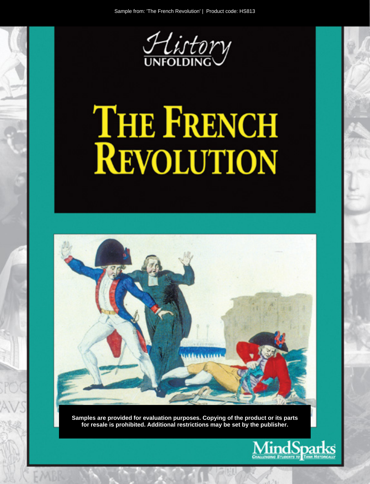

# THE FRENCH<br>REVOLUTION



Samples are provided for evaluation purposes. Copying of the product or its parts for resale is prohibited. Additional restrictions may be set by the publisher.

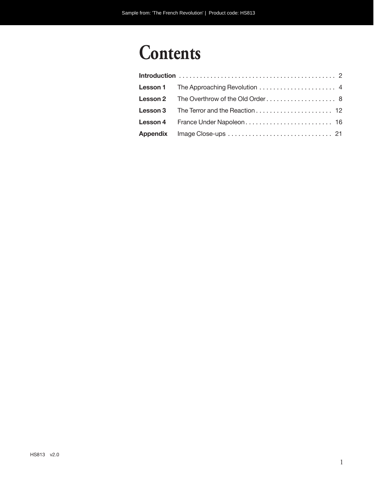# **Contents**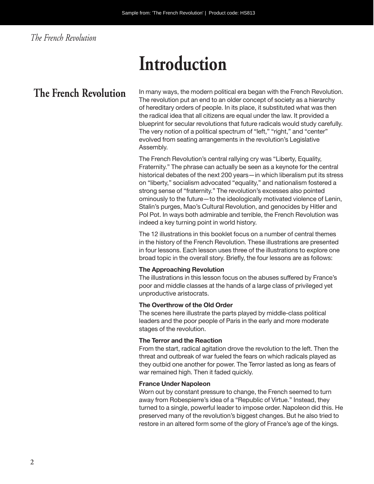### *The French Revolution*

# **Introduction**

The French Revolution In many ways, the modern political era began with the French Revolution. The revolution put an end to an older concept of society as a hierarchy of hereditary orders of people. In its place, it substituted what was then the radical idea that all citizens are equal under the law. It provided a blueprint for secular revolutions that future radicals would study carefully. The very notion of a political spectrum of "left," "right," and "center" evolved from seating arrangements in the revolution's Legislative Assembly.

> The French Revolution's central rallying cry was "Liberty, Equality, Fraternity." The phrase can actually be seen as a keynote for the central historical debates of the next 200 years—in which liberalism put its stress on "liberty," socialism advocated "equality," and nationalism fostered a strong sense of "fraternity." The revolution's excesses also pointed ominously to the future—to the ideologically motivated violence of Lenin, Stalin's purges, Mao's Cultural Revolution, and genocides by Hitler and Pol Pot. In ways both admirable and terrible, the French Revolution was indeed a key turning point in world history.

The 12 illustrations in this booklet focus on a number of central themes in the history of the French Revolution. These illustrations are presented in four lessons. Each lesson uses three of the illustrations to explore one broad topic in the overall story. Briefly, the four lessons are as follows:

#### **The Approaching Revolution**

The illustrations in this lesson focus on the abuses suffered by France's poor and middle classes at the hands of a large class of privileged yet unproductive aristocrats.

#### **The Overthrow of the Old Order**

The scenes here illustrate the parts played by middle-class political leaders and the poor people of Paris in the early and more moderate stages of the revolution.

#### **The Terror and the Reaction**

From the start, radical agitation drove the revolution to the left. Then the threat and outbreak of war fueled the fears on which radicals played as they outbid one another for power. The Terror lasted as long as fears of war remained high. Then it faded quickly.

#### **France Under Napoleon**

Worn out by constant pressure to change, the French seemed to turn away from Robespierre's idea of a "Republic of Virtue." Instead, they turned to a single, powerful leader to impose order. Napoleon did this. He preserved many of the revolution's biggest changes. But he also tried to restore in an altered form some of the glory of France's age of the kings.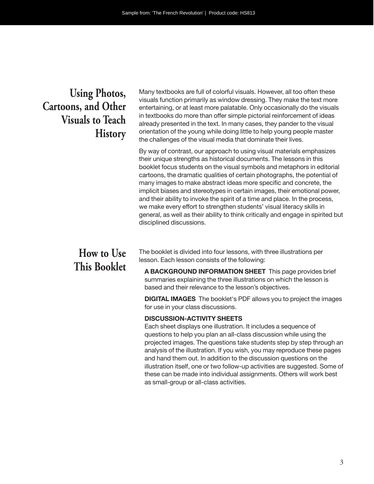## **Using Photos, Cartoons, and Other Visuals to Teach History**

Many textbooks are full of colorful visuals. However, all too often these visuals function primarily as window dressing. They make the text more entertaining, or at least more palatable. Only occasionally do the visuals in textbooks do more than offer simple pictorial reinforcement of ideas already presented in the text. In many cases, they pander to the visual orientation of the young while doing little to help young people master the challenges of the visual media that dominate their lives.

By way of contrast, our approach to using visual materials emphasizes their unique strengths as historical documents. The lessons in this booklet focus students on the visual symbols and metaphors in editorial cartoons, the dramatic qualities of certain photographs, the potential of many images to make abstract ideas more specific and concrete, the implicit biases and stereotypes in certain images, their emotional power, and their ability to invoke the spirit of a time and place. In the process, we make every effort to strengthen students' visual literacy skills in general, as well as their ability to think critically and engage in spirited but disciplined discussions.

## **How to Use This Booklet**

The booklet is divided into four lessons, with three illustrations per lesson. Each lesson consists of the following:

**A BACKGROUND INFORMATION SHEET** This page provides brief summaries explaining the three illustrations on which the lesson is based and their relevance to the lesson's objectives.

**DIGITAL IMAGES** The booklet's PDF allows you to project the images for use in your class discussions.

#### **DISCUSSION-ACTIVITY SHEETS**

Each sheet displays one illustration. It includes a sequence of questions to help you plan an all-class discussion while using the projected images. The questions take students step by step through an analysis of the illustration. If you wish, you may reproduce these pages and hand them out. In addition to the discussion questions on the illustration itself, one or two follow-up activities are suggested. Some of these can be made into individual assignments. Others will work best as small-group or all- class activities.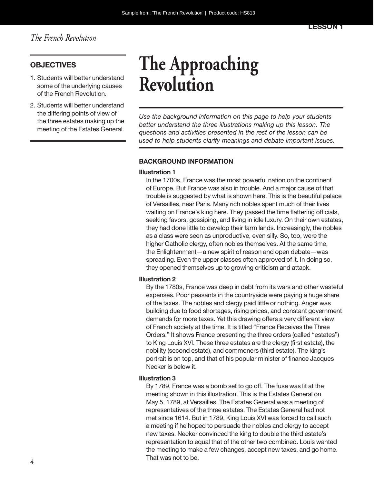#### **OBJECTIVES**

- 1. Students will better understand some of the underlying causes of the French Revolution.
- 2. Students will better understand the differing points of view of the three estates making up the meeting of the Estates General.

# **The Approaching Revolution**

*Use the background information on this page to help your students better understand the three illustrations making up this lesson. The questions and activities presented in the rest of the lesson can be used to help students clarify meanings and debate important issues.*

#### **BACKGROUND INFORMATION**

#### **Illustration 1**

In the 1700s, France was the most powerful nation on the continent of Europe. But France was also in trouble. And a major cause of that trouble is suggested by what is shown here. This is the beautiful palace of Versailles, near Paris. Many rich nobles spent much of their lives waiting on France's king here. They passed the time flattering officials, seeking favors, gossiping, and living in idle luxury. On their own estates, they had done little to develop their farm lands. Increasingly, the nobles as a class were seen as unproductive, even silly. So, too, were the higher Catholic clergy, often nobles themselves. At the same time, the Enlightenment—a new spirit of reason and open debate—was spreading. Even the upper classes often approved of it. In doing so, they opened themselves up to growing criticism and attack.

#### **Illustration 2**

By the 1780s, France was deep in debt from its wars and other wasteful expenses. Poor peasants in the countryside were paying a huge share of the taxes. The nobles and clergy paid little or nothing. Anger was building due to food shortages, rising prices, and constant government demands for more taxes. Yet this drawing offers a very different view of French society at the time. It is titled "France Receives the Three Orders." It shows France presenting the three orders (called "estates") to King Louis XVI. These three estates are the clergy (first estate), the nobility (second estate), and commoners (third estate). The king's portrait is on top, and that of his popular minister of finance Jacques Necker is below it.

#### **Illustration 3**

By 1789, France was a bomb set to go off. The fuse was lit at the meeting shown in this illustration. This is the Estates General on May 5, 1789, at Versailles. The Estates General was a meeting of representatives of the three estates. The Estates General had not met since 1614. But in 1789, King Louis XVI was forced to call such a meeting if he hoped to persuade the nobles and clergy to accept new taxes. Necker convinced the king to double the third estate's representation to equal that of the other two combined. Louis wanted the meeting to make a few changes, accept new taxes, and go home. That was not to be.